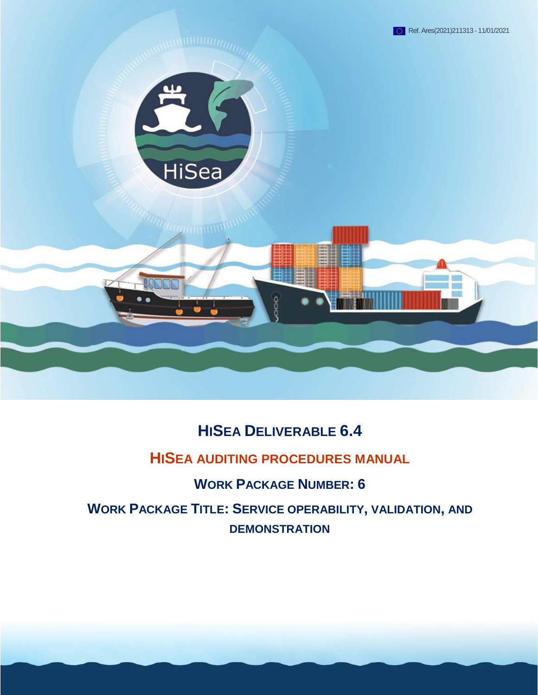

# **HISEA DELIVERABLE 6.4**

### **HISEA AUDITING PROCEDURES MANUAL**

**WORK PACKAGE NUMBER: 6**

**WORK PACKAGE TITLE: SERVICE OPERABILITY, VALIDATION, AND DEMONSTRATION**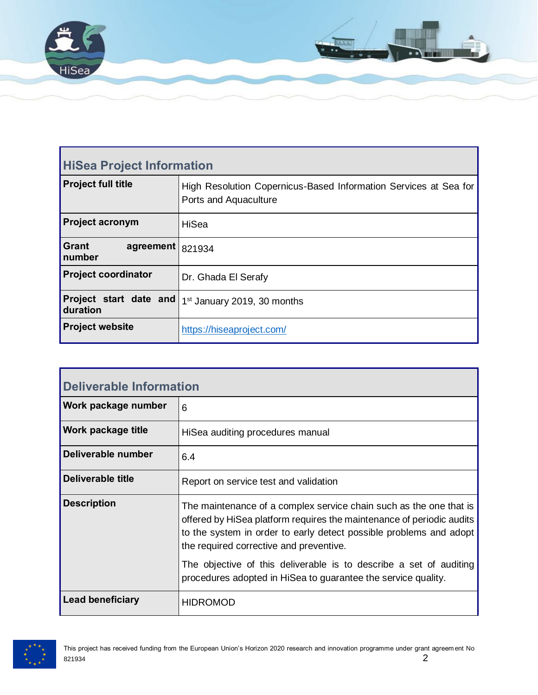

| <b>HiSea Project Information</b>    |                                                                                           |  |  |
|-------------------------------------|-------------------------------------------------------------------------------------------|--|--|
| <b>Project full title</b>           | High Resolution Copernicus-Based Information Services at Sea for<br>Ports and Aquaculture |  |  |
| <b>Project acronym</b>              | HiSea                                                                                     |  |  |
| <b>Grant</b><br>agreement<br>number | 821934                                                                                    |  |  |
| <b>Project coordinator</b>          | Dr. Ghada El Serafy                                                                       |  |  |
| Project start date and<br>duration  | 1 <sup>st</sup> January 2019, 30 months                                                   |  |  |
| <b>Project website</b>              | https://hiseaproject.com/                                                                 |  |  |

| Deliverable Information |                                                                                                                                                                                                                                                              |  |  |
|-------------------------|--------------------------------------------------------------------------------------------------------------------------------------------------------------------------------------------------------------------------------------------------------------|--|--|
| Work package number     | 6                                                                                                                                                                                                                                                            |  |  |
| Work package title      | HiSea auditing procedures manual                                                                                                                                                                                                                             |  |  |
| Deliverable number      | 6.4                                                                                                                                                                                                                                                          |  |  |
| Deliverable title       | Report on service test and validation                                                                                                                                                                                                                        |  |  |
| <b>Description</b>      | The maintenance of a complex service chain such as the one that is<br>offered by HiSea platform requires the maintenance of periodic audits<br>to the system in order to early detect possible problems and adopt<br>the required corrective and preventive. |  |  |
|                         | The objective of this deliverable is to describe a set of auditing<br>procedures adopted in HiSea to guarantee the service quality.                                                                                                                          |  |  |
| <b>Lead beneficiary</b> | <b>HIDROMOD</b>                                                                                                                                                                                                                                              |  |  |

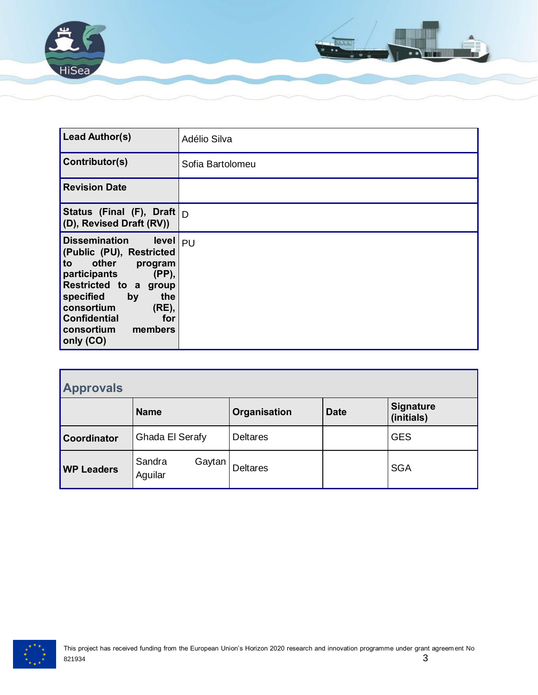

| <b>Lead Author(s)</b>                                                                                                                                                                                                                                                   | Adélio Silva     |
|-------------------------------------------------------------------------------------------------------------------------------------------------------------------------------------------------------------------------------------------------------------------------|------------------|
| Contributor(s)                                                                                                                                                                                                                                                          | Sofia Bartolomeu |
| <b>Revision Date</b>                                                                                                                                                                                                                                                    |                  |
| Status (Final (F), Draft $ _{\Gamma}$<br>(D), Revised Draft (RV))                                                                                                                                                                                                       |                  |
| <b>Dissemination</b><br>level   <sub>PU</sub><br>(Public (PU), Restricted<br>other<br>to<br>program<br>(PP),<br>participants<br>Restricted to a group<br>specified<br>by<br>the<br>consortium<br>(RE),<br><b>Confidential</b><br>for<br>consortium members<br>only (CO) |                  |

| <b>Approvals</b>  |                             |                 |             |                                |  |
|-------------------|-----------------------------|-----------------|-------------|--------------------------------|--|
|                   | <b>Name</b>                 | Organisation    | <b>Date</b> | <b>Signature</b><br>(initials) |  |
| Coordinator       | Ghada El Serafy             | <b>Deltares</b> |             | <b>GES</b>                     |  |
| <b>WP Leaders</b> | Sandra<br>Gaytan<br>Aguilar | <b>Deltares</b> |             | <b>SGA</b>                     |  |

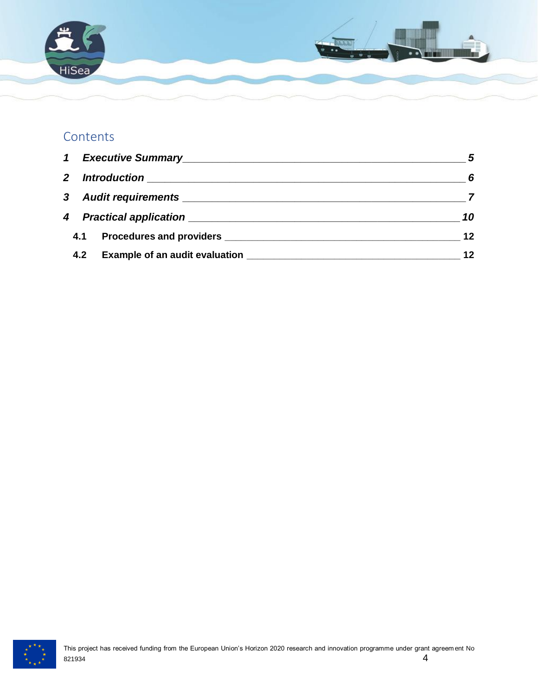

### **Contents**

| $\mathbf 1$  | Executive Summary <b>Executive Summary</b> | $\overline{\phantom{a}}$ 5 |
|--------------|--------------------------------------------|----------------------------|
| $\mathbf{2}$ |                                            | - 6                        |
|              |                                            |                            |
|              |                                            | 10                         |
| 4.1          |                                            | 12                         |
| 4.2          |                                            | 12                         |

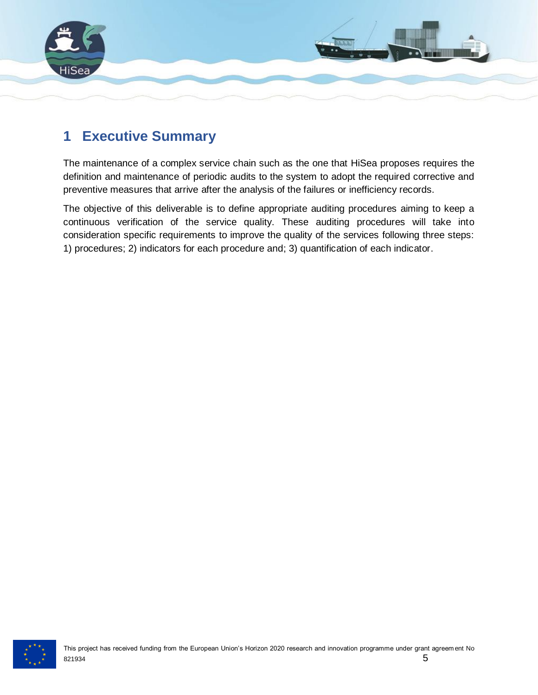

### <span id="page-4-0"></span>**1 Executive Summary**

The maintenance of a complex service chain such as the one that HiSea proposes requires the definition and maintenance of periodic audits to the system to adopt the required corrective and preventive measures that arrive after the analysis of the failures or inefficiency records.

The objective of this deliverable is to define appropriate auditing procedures aiming to keep a continuous verification of the service quality. These auditing procedures will take into consideration specific requirements to improve the quality of the services following three steps: 1) procedures; 2) indicators for each procedure and; 3) quantification of each indicator.

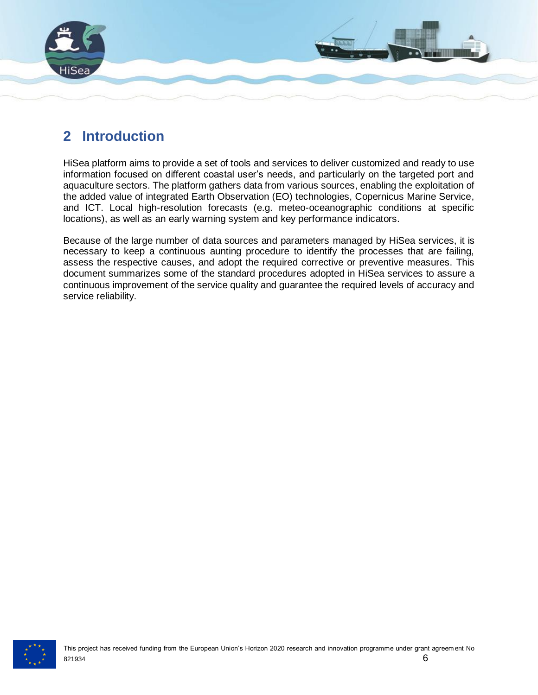

## <span id="page-5-0"></span>**2 Introduction**

HiSea platform aims to provide a set of tools and services to deliver customized and ready to use information focused on different coastal user's needs, and particularly on the targeted port and aquaculture sectors. The platform gathers data from various sources, enabling the exploitation of the added value of integrated Earth Observation (EO) technologies, Copernicus Marine Service, and ICT. Local high-resolution forecasts (e.g. meteo-oceanographic conditions at specific locations), as well as an early warning system and key performance indicators.

Because of the large number of data sources and parameters managed by HiSea services, it is necessary to keep a continuous aunting procedure to identify the processes that are failing, assess the respective causes, and adopt the required corrective or preventive measures. This document summarizes some of the standard procedures adopted in HiSea services to assure a continuous improvement of the service quality and guarantee the required levels of accuracy and service reliability.

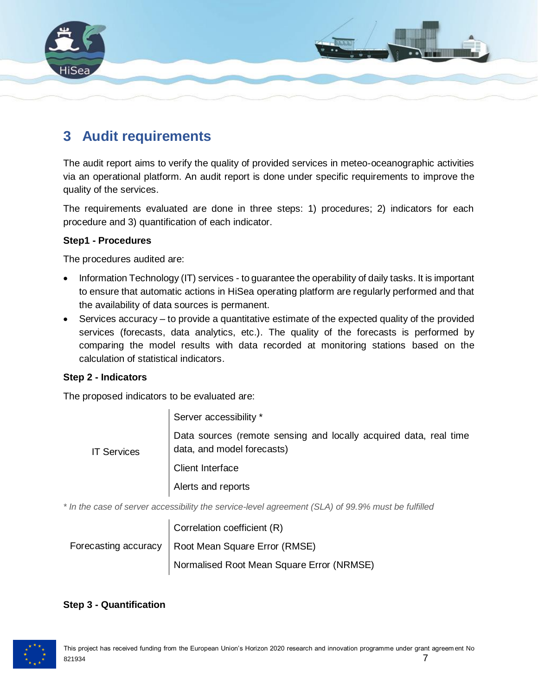

### <span id="page-6-0"></span>**3 Audit requirements**

The audit report aims to verify the quality of provided services in meteo-oceanographic activities via an operational platform. An audit report is done under specific requirements to improve the quality of the services.

The requirements evaluated are done in three steps: 1) procedures; 2) indicators for each procedure and 3) quantification of each indicator.

#### **Step1 - Procedures**

The procedures audited are:

- Information Technology (IT) services to guarantee the operability of daily tasks. It is important to ensure that automatic actions in HiSea operating platform are regularly performed and that the availability of data sources is permanent.
- Services accuracy to provide a quantitative estimate of the expected quality of the provided services (forecasts, data analytics, etc.). The quality of the forecasts is performed by comparing the model results with data recorded at monitoring stations based on the calculation of statistical indicators.

#### **Step 2 - Indicators**

The proposed indicators to be evaluated are:

| <b>IT Services</b> | Server accessibility *                                                                          |
|--------------------|-------------------------------------------------------------------------------------------------|
|                    | Data sources (remote sensing and locally acquired data, real time<br>data, and model forecasts) |
|                    | Client Interface                                                                                |
|                    | Alerts and reports                                                                              |

*\* In the case of server accessibility the service-level agreement (SLA) of 99.9% must be fulfilled*

| Correlation coefficient (R)                          |
|------------------------------------------------------|
| Forecasting accuracy   Root Mean Square Error (RMSE) |
| Normalised Root Mean Square Error (NRMSE)            |

#### **Step 3 - Quantification**

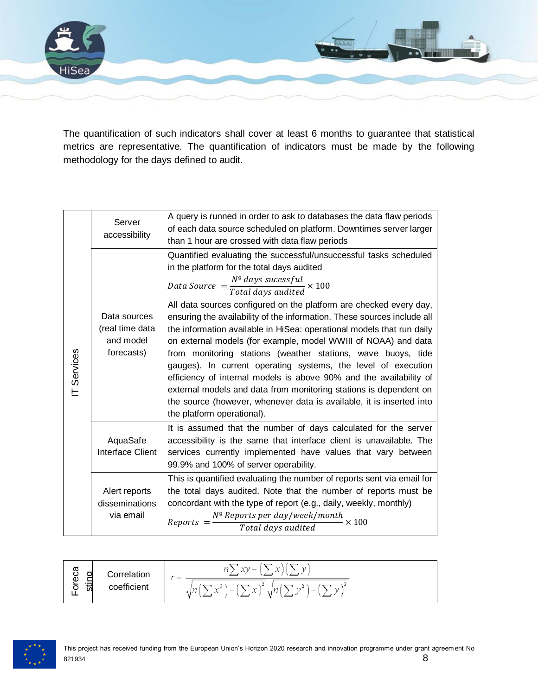

The quantification of such indicators shall cover at least 6 months to guarantee that statistical metrics are representative. The quantification of indicators must be made by the following methodology for the days defined to audit.

|            | Server<br>accessibility                                    | A query is runned in order to ask to databases the data flaw periods<br>of each data source scheduled on platform. Downtimes server larger<br>than 1 hour are crossed with data flaw periods                                                                                                                                                                                                                                                                                                                                                                                                                                                                                                                                                                                                                                                                 |  |  |
|------------|------------------------------------------------------------|--------------------------------------------------------------------------------------------------------------------------------------------------------------------------------------------------------------------------------------------------------------------------------------------------------------------------------------------------------------------------------------------------------------------------------------------------------------------------------------------------------------------------------------------------------------------------------------------------------------------------------------------------------------------------------------------------------------------------------------------------------------------------------------------------------------------------------------------------------------|--|--|
| T Services | Data sources<br>(real time data<br>and model<br>forecasts) | Quantified evaluating the successful/unsuccessful tasks scheduled<br>in the platform for the total days audited<br>Data Source $=$ $\frac{N^{\circ}$ days sucessful $\geq 100$<br>All data sources configured on the platform are checked every day,<br>ensuring the availability of the information. These sources include all<br>the information available in HiSea: operational models that run daily<br>on external models (for example, model WWIII of NOAA) and data<br>from monitoring stations (weather stations, wave buoys, tide<br>gauges). In current operating systems, the level of execution<br>efficiency of internal models is above 90% and the availability of<br>external models and data from monitoring stations is dependent on<br>the source (however, whenever data is available, it is inserted into<br>the platform operational). |  |  |
|            | AquaSafe<br>Interface Client                               | It is assumed that the number of days calculated for the server<br>accessibility is the same that interface client is unavailable. The<br>services currently implemented have values that vary between<br>99.9% and 100% of server operability.                                                                                                                                                                                                                                                                                                                                                                                                                                                                                                                                                                                                              |  |  |
|            | Alert reports<br>disseminations<br>via email               | This is quantified evaluating the number of reports sent via email for<br>the total days audited. Note that the number of reports must be<br>concordant with the type of report (e.g., daily, weekly, monthly)<br>$\textit{Reports} = \frac{N^{\textit{o}} \textit{Reports} \textit{per day/week/month}}{\textit{Total days audited}}$<br>$\dot{\mathsf{z}} \times 100$                                                                                                                                                                                                                                                                                                                                                                                                                                                                                      |  |  |

| σ<br>n<br>ု ပွဲ    | Correlation | vaa s<br><b>But 19</b><br>32<br>$\sim$                                                                               |
|--------------------|-------------|----------------------------------------------------------------------------------------------------------------------|
| ιă<br>$\circ$<br>苆 | coefficient | $\overline{\phantom{a}}$<br>ìΔ.<br>ນ"<br>Íп.<br>$\lambda$ ln'<br>x.<br>ν.<br>$\overline{\phantom{0}}$<br>- 22 -<br>w |

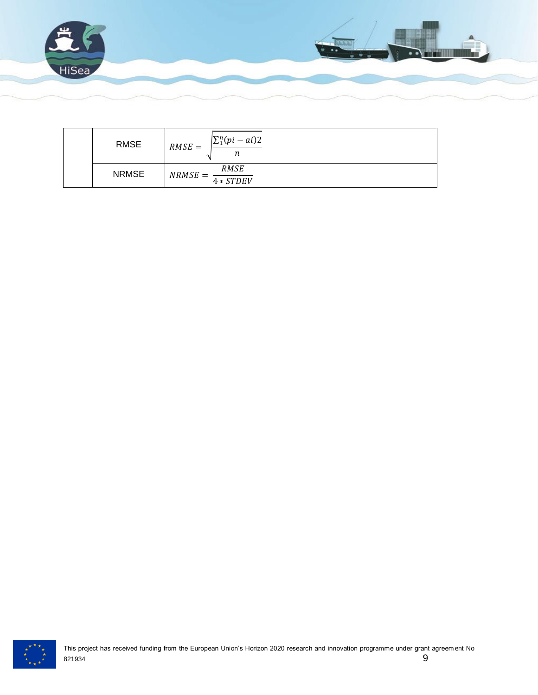

| <b>RMSE</b>  | $\sum_{1}^{n}(pi - ai)2$<br>$RMSE =$<br>n |
|--------------|-------------------------------------------|
| <b>NRMSE</b> | RMSE<br>$NRMSE =$<br>$4 * STDEV$          |

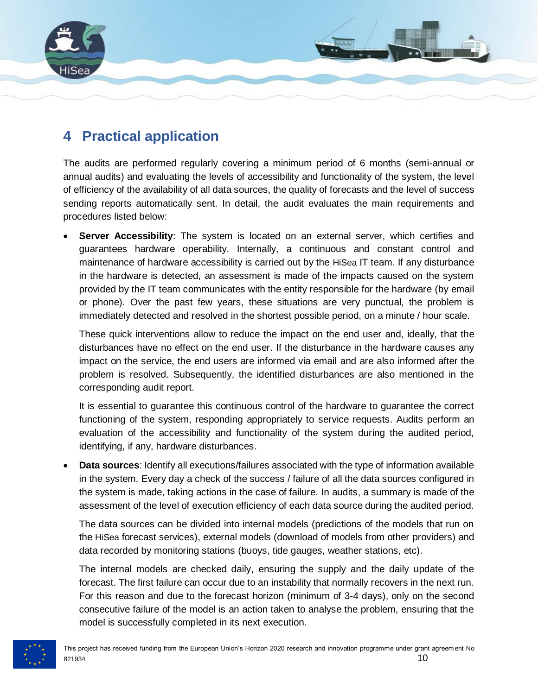

### <span id="page-9-0"></span>**4 Practical application**

The audits are performed regularly covering a minimum period of 6 months (semi-annual or annual audits) and evaluating the levels of accessibility and functionality of the system, the level of efficiency of the availability of all data sources, the quality of forecasts and the level of success sending reports automatically sent. In detail, the audit evaluates the main requirements and procedures listed below:

**Server Accessibility**: The system is located on an external server, which certifies and guarantees hardware operability. Internally, a continuous and constant control and maintenance of hardware accessibility is carried out by the HiSea IT team. If any disturbance in the hardware is detected, an assessment is made of the impacts caused on the system provided by the IT team communicates with the entity responsible for the hardware (by email or phone). Over the past few years, these situations are very punctual, the problem is immediately detected and resolved in the shortest possible period, on a minute / hour scale.

These quick interventions allow to reduce the impact on the end user and, ideally, that the disturbances have no effect on the end user. If the disturbance in the hardware causes any impact on the service, the end users are informed via email and are also informed after the problem is resolved. Subsequently, the identified disturbances are also mentioned in the corresponding audit report.

It is essential to guarantee this continuous control of the hardware to guarantee the correct functioning of the system, responding appropriately to service requests. Audits perform an evaluation of the accessibility and functionality of the system during the audited period, identifying, if any, hardware disturbances.

• **Data sources**: Identify all executions/failures associated with the type of information available in the system. Every day a check of the success / failure of all the data sources configured in the system is made, taking actions in the case of failure. In audits, a summary is made of the assessment of the level of execution efficiency of each data source during the audited period.

The data sources can be divided into internal models (predictions of the models that run on the HiSea forecast services), external models (download of models from other providers) and data recorded by monitoring stations (buoys, tide gauges, weather stations, etc).

The internal models are checked daily, ensuring the supply and the daily update of the forecast. The first failure can occur due to an instability that normally recovers in the next run. For this reason and due to the forecast horizon (minimum of 3-4 days), only on the second consecutive failure of the model is an action taken to analyse the problem, ensuring that the model is successfully completed in its next execution.

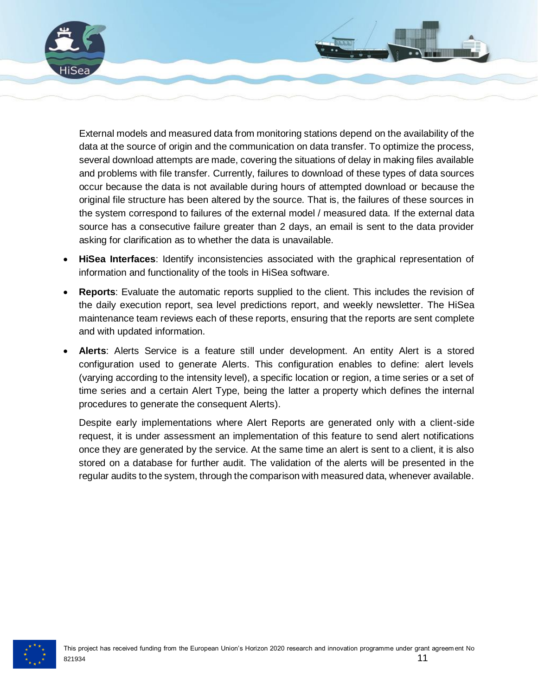

External models and measured data from monitoring stations depend on the availability of the data at the source of origin and the communication on data transfer. To optimize the process, several download attempts are made, covering the situations of delay in making files available and problems with file transfer. Currently, failures to download of these types of data sources occur because the data is not available during hours of attempted download or because the original file structure has been altered by the source. That is, the failures of these sources in the system correspond to failures of the external model / measured data. If the external data source has a consecutive failure greater than 2 days, an email is sent to the data provider asking for clarification as to whether the data is unavailable.

- **HiSea Interfaces**: Identify inconsistencies associated with the graphical representation of information and functionality of the tools in HiSea software.
- **Reports**: Evaluate the automatic reports supplied to the client. This includes the revision of the daily execution report, sea level predictions report, and weekly newsletter. The HiSea maintenance team reviews each of these reports, ensuring that the reports are sent complete and with updated information.
- **Alerts**: Alerts Service is a feature still under development. An entity Alert is a stored configuration used to generate Alerts. This configuration enables to define: alert levels (varying according to the intensity level), a specific location or region, a time series or a set of time series and a certain Alert Type, being the latter a property which defines the internal procedures to generate the consequent Alerts).

Despite early implementations where Alert Reports are generated only with a client-side request, it is under assessment an implementation of this feature to send alert notifications once they are generated by the service. At the same time an alert is sent to a client, it is also stored on a database for further audit. The validation of the alerts will be presented in the regular audits to the system, through the comparison with measured data, whenever available.

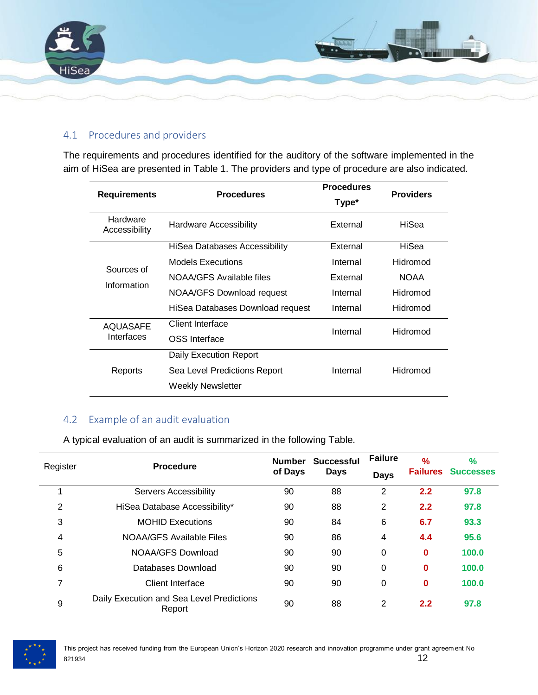

#### <span id="page-11-0"></span>4.1 Procedures and providers

The requirements and procedures identified for the auditory of the software implemented in the aim of HiSea are presented in Table 1. The providers and type of procedure are also indicated.

| <b>Requirements</b>       | <b>Procedures</b>                    | <b>Procedures</b><br>Type* | <b>Providers</b> |  |
|---------------------------|--------------------------------------|----------------------------|------------------|--|
| Hardware<br>Accessibility | <b>Hardware Accessibility</b>        | External                   | HiSea            |  |
|                           | <b>HiSea Databases Accessibility</b> | External                   | HiSea            |  |
| Sources of                | Models Executions                    | Internal                   | Hidromod         |  |
|                           | NOAA/GFS Available files             | External                   | <b>NOAA</b>      |  |
| Information               | <b>NOAA/GFS Download request</b>     | Internal                   | Hidromod         |  |
|                           | HiSea Databases Download request     | Internal                   | Hidromod         |  |
| AQUASAFE                  | Client Interface                     | Internal                   | Hidromod         |  |
| Interfaces                | OSS Interface                        |                            |                  |  |
|                           | Daily Execution Report               |                            |                  |  |
| Reports                   | Sea Level Predictions Report         | Internal                   | Hidromod         |  |
|                           | Weekly Newsletter                    |                            |                  |  |

#### <span id="page-11-1"></span>4.2 Example of an audit evaluation

A typical evaluation of an audit is summarized in the following Table.

| Register | <b>Procedure</b>                                    | <b>Number</b><br>of Days | <b>Successful</b><br><b>Days</b> | <b>Failure</b><br><b>Days</b> | $\frac{9}{6}$ | $\frac{9}{6}$<br><b>Failures</b> Successes |
|----------|-----------------------------------------------------|--------------------------|----------------------------------|-------------------------------|---------------|--------------------------------------------|
|          | <b>Servers Accessibility</b>                        | 90                       | 88                               | $\overline{2}$                | 2.2           | 97.8                                       |
| 2        | HiSea Database Accessibility*                       | 90                       | 88                               | 2                             | 2.2           | 97.8                                       |
| 3        | <b>MOHID Executions</b>                             | 90                       | 84                               | 6                             | 6.7           | 93.3                                       |
| 4        | NOAA/GFS Available Files                            | 90                       | 86                               | 4                             | 4.4           | 95.6                                       |
| 5        | NOAA/GFS Download                                   | 90                       | 90                               | 0                             | 0             | 100.0                                      |
| 6        | Databases Download                                  | 90                       | 90                               | 0                             | 0             | 100.0                                      |
| 7        | Client Interface                                    | 90                       | 90                               | 0                             | 0             | 100.0                                      |
| 9        | Daily Execution and Sea Level Predictions<br>Report | 90                       | 88                               | 2                             | 2.2           | 97.8                                       |